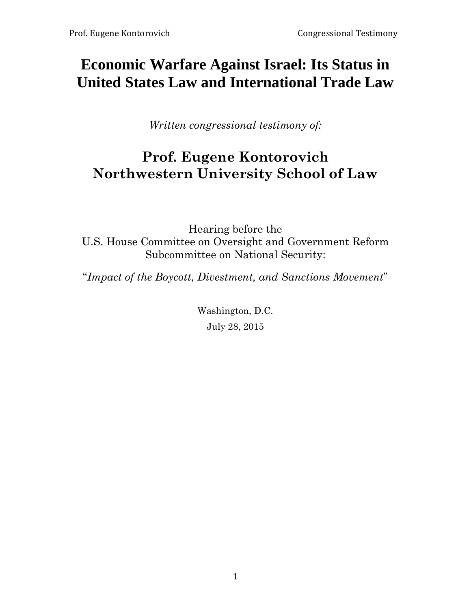# **Economic Warfare Against Israel: Its Status in United States Law and International Trade Law**

*Written congressional testimony of:*

# **Prof. Eugene Kontorovich Northwestern University School of Law**

Hearing before the U.S. House Committee on Oversight and Government Reform Subcommittee on National Security:

"*Impact of the Boycott, Divestment, and Sanctions Movement*"

Washington, D.C. July 28, 2015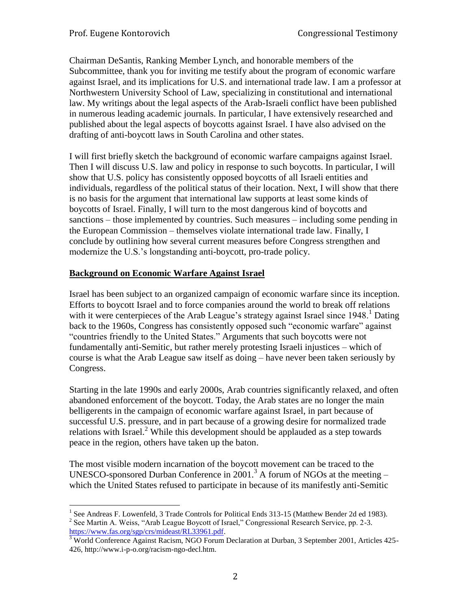Chairman DeSantis, Ranking Member Lynch, and honorable members of the Subcommittee, thank you for inviting me testify about the program of economic warfare against Israel, and its implications for U.S. and international trade law. I am a professor at Northwestern University School of Law, specializing in constitutional and international law. My writings about the legal aspects of the Arab-Israeli conflict have been published in numerous leading academic journals. In particular, I have extensively researched and published about the legal aspects of boycotts against Israel. I have also advised on the drafting of anti-boycott laws in South Carolina and other states.

I will first briefly sketch the background of economic warfare campaigns against Israel. Then I will discuss U.S. law and policy in response to such boycotts. In particular, I will show that U.S. policy has consistently opposed boycotts of all Israeli entities and individuals, regardless of the political status of their location. Next, I will show that there is no basis for the argument that international law supports at least some kinds of boycotts of Israel. Finally, I will turn to the most dangerous kind of boycotts and sanctions – those implemented by countries. Such measures – including some pending in the European Commission – themselves violate international trade law. Finally, I conclude by outlining how several current measures before Congress strengthen and modernize the U.S.'s longstanding anti-boycott, pro-trade policy.

# **Background on Economic Warfare Against Israel**

Israel has been subject to an organized campaign of economic warfare since its inception. Efforts to boycott Israel and to force companies around the world to break off relations with it were centerpieces of the Arab League's strategy against Israel since  $1948$ <sup>1</sup> Dating back to the 1960s, Congress has consistently opposed such "economic warfare" against "countries friendly to the United States." Arguments that such boycotts were not fundamentally anti-Semitic, but rather merely protesting Israeli injustices – which of course is what the Arab League saw itself as doing – have never been taken seriously by Congress.

Starting in the late 1990s and early 2000s, Arab countries significantly relaxed, and often abandoned enforcement of the boycott. Today, the Arab states are no longer the main belligerents in the campaign of economic warfare against Israel, in part because of successful U.S. pressure, and in part because of a growing desire for normalized trade relations with Israel. $^2$  While this development should be applauded as a step towards peace in the region, others have taken up the baton.

The most visible modern incarnation of the boycott movement can be traced to the UNESCO-sponsored Durban Conference in 2001.<sup>3</sup> A forum of NGOs at the meeting  $$ which the United States refused to participate in because of its manifestly anti-Semitic

<sup>&</sup>lt;sup>1</sup> See Andreas F. Lowenfeld, 3 Trade Controls for Political Ends 313-15 (Matthew Bender 2d ed 1983).

 $2^2$  See Martin A. Weiss, "Arab League Boycott of Israel," Congressional Research Service, pp. 2-3. [https://www.fas.org/sgp/crs/mideast/RL33961.pdf.](https://www.fas.org/sgp/crs/mideast/RL33961.pdf)

<sup>&</sup>lt;sup>3</sup> World Conference Against Racism, NGO Forum Declaration at Durban, 3 September 2001, Articles 425-426, http://www.i-p-o.org/racism-ngo-decl.htm.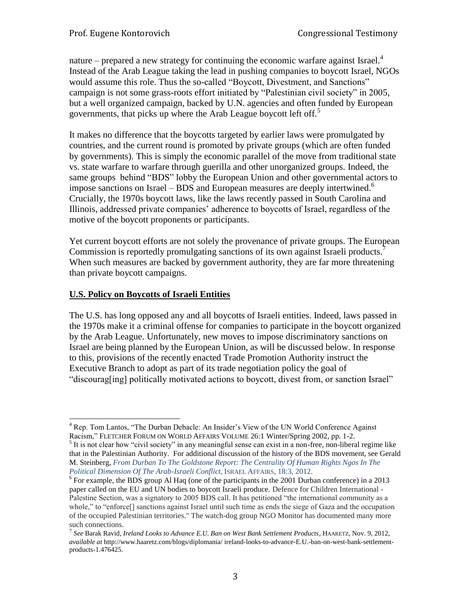nature – prepared a new strategy for continuing the economic warfare against Israel.<sup>4</sup> Instead of the Arab League taking the lead in pushing companies to boycott Israel, NGOs would assume this role. Thus the so-called "Boycott, Divestment, and Sanctions" campaign is not some grass-roots effort initiated by "Palestinian civil society" in 2005, but a well organized campaign, backed by U.N. agencies and often funded by European governments, that picks up where the Arab League boycott left off.<sup>5</sup>

It makes no difference that the boycotts targeted by earlier laws were promulgated by countries, and the current round is promoted by private groups (which are often funded by governments). This is simply the economic parallel of the move from traditional state vs. state warfare to warfare through guerilla and other unorganized groups. Indeed, the same groups behind "BDS" lobby the European Union and other governmental actors to impose sanctions on Israel – BDS and European measures are deeply intertwined. 6 Crucially, the 1970s boycott laws, like the laws recently passed in South Carolina and Illinois, addressed private companies' adherence to boycotts of Israel, regardless of the motive of the boycott proponents or participants.

Yet current boycott efforts are not solely the provenance of private groups. The European Commission is reportedly promulgating sanctions of its own against Israeli products. When such measures are backed by government authority, they are far more threatening than private boycott campaigns.

# **U.S. Policy on Boycotts of Israeli Entities**

The U.S. has long opposed any and all boycotts of Israeli entities. Indeed, laws passed in the 1970s make it a criminal offense for companies to participate in the boycott organized by the Arab League. Unfortunately, new moves to impose discriminatory sanctions on Israel are being planned by the European Union, as will be discussed below. In response to this, provisions of the recently enacted Trade Promotion Authority instruct the Executive Branch to adopt as part of its trade negotiation policy the goal of "discourag[ing] politically motivated actions to boycott, divest from, or sanction Israel"

 $\overline{a}$ <sup>4</sup> Rep. Tom Lantos, "The Durban Debacle: An Insider's View of the UN World Conference Against Racism," FLETCHER FORUM ON WORLD AFFAIRS VOLUME 26:1 Winter/Spring 2002, pp. 1-2.

<sup>&</sup>lt;sup>5</sup> It is not clear how "civil society" in any meaningful sense can exist in a non-free, non-liberal regime like that in the Palestinian Authority. For additional discussion of the history of the BDS movement, see Gerald M. Steinberg, *From Durban To The Goldstone Report: The Centrality Of Human Rights Ngos In The Political Dimension Of The Arab-Israeli Conflict*, ISRAEL AFFAIRS, 18:3, 2012.

 $6$  For example, the BDS group Al Haq (one of the participants in the 2001 Durban conference) in a 2013 paper called on the EU and UN bodies to boycott Israeli produce. Defence for Children International - Palestine Section, was a signatory to 2005 BDS call. It has petitioned "the international community as a whole," to "enforce<sup>[]</sup> sanctions against Israel until such time as ends the siege of Gaza and the occupation of the occupied Palestinian territories." The watch-dog group NGO Monitor has documented many more such connections.

<sup>7</sup> *See* Barak Ravid, *Ireland Looks to Advance E.U. Ban on West Bank Settlement Products*, HAARETZ, Nov. 9, 2012, *available at* http://www.haaretz.com/blogs/diplomania/ ireland-looks-to-advance-E.U.-ban-on-west-bank-settlementproducts-1.476425.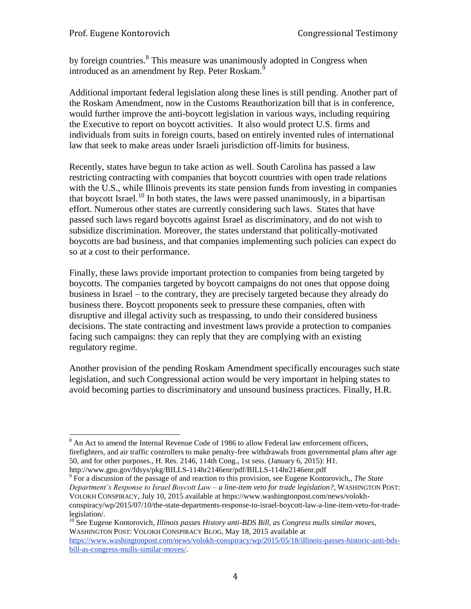by foreign countries.<sup>8</sup> This measure was unanimously adopted in Congress when introduced as an amendment by Rep. Peter Roskam.<sup>9</sup>

Additional important federal legislation along these lines is still pending. Another part of the Roskam Amendment, now in the Customs Reauthorization bill that is in conference, would further improve the anti-boycott legislation in various ways, including requiring the Executive to report on boycott activities. It also would protect U.S. firms and individuals from suits in foreign courts, based on entirely invented rules of international law that seek to make areas under Israeli jurisdiction off-limits for business.

Recently, states have begun to take action as well. South Carolina has passed a law restricting contracting with companies that boycott countries with open trade relations with the U.S., while Illinois prevents its state pension funds from investing in companies that boycott Israel.<sup>10</sup> In both states, the laws were passed unanimously, in a bipartisan effort. Numerous other states are currently considering such laws. States that have passed such laws regard boycotts against Israel as discriminatory, and do not wish to subsidize discrimination. Moreover, the states understand that politically-motivated boycotts are bad business, and that companies implementing such policies can expect do so at a cost to their performance.

Finally, these laws provide important protection to companies from being targeted by boycotts. The companies targeted by boycott campaigns do not ones that oppose doing business in Israel – to the contrary, they are precisely targeted because they already do business there. Boycott proponents seek to pressure these companies, often with disruptive and illegal activity such as trespassing, to undo their considered business decisions. The state contracting and investment laws provide a protection to companies facing such campaigns: they can reply that they are complying with an existing regulatory regime.

Another provision of the pending Roskam Amendment specifically encourages such state legislation, and such Congressional action would be very important in helping states to avoid becoming parties to discriminatory and unsound business practices. Finally, H.R.

http://www.gpo.gov/fdsys/pkg/BILLS-114hr2146enr/pdf/BILLS-114hr2146enr.pdf

9 For a discussion of the passage of and reaction to this provision, see Eugene Kontorovich,, *The State Department's Response to Israel Boycott Law – a line-item veto for trade legislation?*, WASHINGTON POST: VOLOKH CONSPIRACY, July 10, 2015 available at https://www.washingtonpost.com/news/volokhconspiracy/wp/2015/07/10/the-state-departments-response-to-israel-boycott-law-a-line-item-veto-for-tradelegislation/.

<sup>10</sup> See Eugene Kontorovich*, Illinois passes History anti-BDS Bill, as Congress mulls similar moves*, WASHINGTON POST: VOLOKH CONSPIRACY BLOG, May 18, 2015 available at [https://www.washingtonpost.com/news/volokh-conspiracy/wp/2015/05/18/illinois-passes-historic-anti-bds](https://www.washingtonpost.com/news/volokh-conspiracy/wp/2015/05/18/illinois-passes-historic-anti-bds-bill-as-congress-mulls-similar-moves/)[bill-as-congress-mulls-similar-moves/.](https://www.washingtonpost.com/news/volokh-conspiracy/wp/2015/05/18/illinois-passes-historic-anti-bds-bill-as-congress-mulls-similar-moves/)

 $\overline{a}$  $8$  An Act to amend the Internal Revenue Code of 1986 to allow Federal law enforcement officers, firefighters, and air traffic controllers to make penalty-free withdrawals from governmental plans after age 50, and for other purposes., H. Res. 2146, 114th Cong., 1st sess. (January 6, 2015): H1.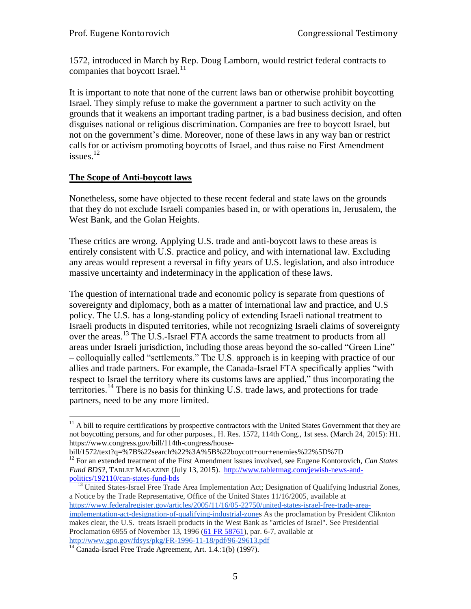1572, introduced in March by Rep. Doug Lamborn, would restrict federal contracts to companies that boycott Israel. $^{11}$ 

It is important to note that none of the current laws ban or otherwise prohibit boycotting Israel. They simply refuse to make the government a partner to such activity on the grounds that it weakens an important trading partner, is a bad business decision, and often disguises national or religious discrimination. Companies are free to boycott Israel, but not on the government's dime. Moreover, none of these laws in any way ban or restrict calls for or activism promoting boycotts of Israel, and thus raise no First Amendment issues. $^{12}$ 

#### **The Scope of Anti-boycott laws**

 $\overline{a}$ 

Nonetheless, some have objected to these recent federal and state laws on the grounds that they do not exclude Israeli companies based in, or with operations in, Jerusalem, the West Bank, and the Golan Heights.

These critics are wrong. Applying U.S. trade and anti-boycott laws to these areas is entirely consistent with U.S. practice and policy, and with international law. Excluding any areas would represent a reversal in fifty years of U.S. legislation, and also introduce massive uncertainty and indeterminacy in the application of these laws.

The question of international trade and economic policy is separate from questions of sovereignty and diplomacy, both as a matter of international law and practice, and U.S policy. The U.S. has a long-standing policy of extending Israeli national treatment to Israeli products in disputed territories, while not recognizing Israeli claims of sovereignty over the areas.<sup>13</sup> The U.S.-Israel FTA accords the same treatment to products from all areas under Israeli jurisdiction, including those areas beyond the so-called "Green Line" – colloquially called "settlements." The U.S. approach is in keeping with practice of our allies and trade partners. For example, the Canada-Israel FTA specifically applies "with respect to Israel the territory where its customs laws are applied," thus incorporating the territories.<sup>14</sup> There is no basis for thinking U.S. trade laws, and protections for trade partners, need to be any more limited.

 $11$  A bill to require certifications by prospective contractors with the United States Government that they are not boycotting persons, and for other purposes., H. Res. 1572, 114th Cong., 1st sess. (March 24, 2015): H1. https://www.congress.gov/bill/114th-congress/house-

bill/1572/text?q=%7B%22search%22%3A%5B%22boycott+our+enemies%22%5D%7D

<sup>12</sup> For an extended treatment of the First Amendment issues involved, see Eugene Kontorovich, *Can States Fund BDS?*, TABLET MAGAZINE (July 13, 2015). [http://www.tabletmag.com/jewish-news-and](http://www.tabletmag.com/jewish-news-and-politics/192110/can-states-fund-bds)[politics/192110/can-states-fund-bds](http://www.tabletmag.com/jewish-news-and-politics/192110/can-states-fund-bds)

<sup>&</sup>lt;sup>13</sup> United States-Israel Free Trade Area Implementation Act; Designation of Qualifying Industrial Zones, a Notice by the Trade Representative, Office of the United States 11/16/2005, available at [https://www.federalregister.gov/articles/2005/11/16/05-22750/united-states-israel-free-trade-area](https://www.federalregister.gov/articles/2005/11/16/05-22750/united-states-israel-free-trade-area-implementation-act-designation-of-qualifying-industrial-zone)[implementation-act-designation-of-qualifying-industrial-zones](https://www.federalregister.gov/articles/2005/11/16/05-22750/united-states-israel-free-trade-area-implementation-act-designation-of-qualifying-industrial-zone) As the proclamation by President Cliknton makes clear, the U.S. treats Israeli products in the West Bank as "articles of Israel". See Presidential Proclamation 6955 of November 13, 1996 [\(61 FR 58761\)](https://www.federalregister.gov/citation/61-FR-58761), par. 6-7, available at <http://www.gpo.gov/fdsys/pkg/FR-1996-11-18/pdf/96-29613.pdf>

<sup>&</sup>lt;sup>14</sup> Canada-Israel Free Trade Agreement, Art. 1.4.:1(b) (1997).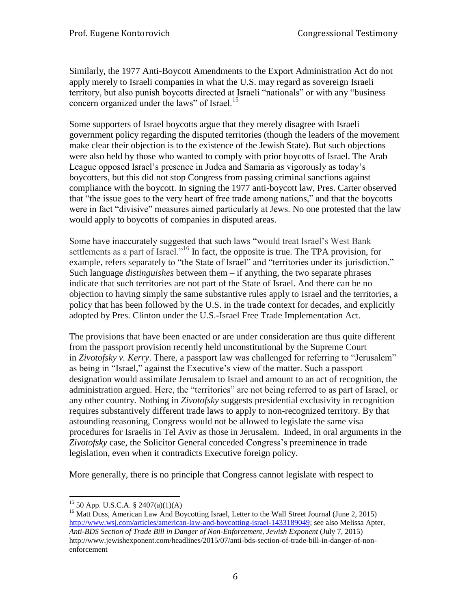Similarly, the 1977 Anti-Boycott Amendments to the Export Administration Act do not apply merely to Israeli companies in what the U.S. may regard as sovereign Israeli territory, but also punish boycotts directed at Israeli "nationals" or with any "business concern organized under the laws" of Israel.<sup>15</sup>

Some supporters of Israel boycotts argue that they merely disagree with Israeli government policy regarding the disputed territories (though the leaders of the movement make clear their objection is to the existence of the Jewish State). But such objections were also held by those who wanted to comply with prior boycotts of Israel. The Arab League opposed Israel's presence in Judea and Samaria as vigorously as today's boycotters, but this did not stop Congress from passing criminal sanctions against compliance with the boycott. In signing the 1977 anti-boycott law, Pres. Carter observed that "the issue goes to the very heart of free trade among nations," and that the boycotts were in fact "divisive" measures aimed particularly at Jews. No one protested that the law would apply to boycotts of companies in disputed areas.

Some have inaccurately suggested that such laws "would treat Israel's West Bank settlements as a part of Israel."<sup>16</sup> In fact, the opposite is true. The TPA provision, for example, refers separately to "the State of Israel" and "territories under its jurisdiction." Such language *distinguishes* between them – if anything, the two separate phrases indicate that such territories are not part of the State of Israel. And there can be no objection to having simply the same substantive rules apply to Israel and the territories, a policy that has been followed by the U.S. in the trade context for decades, and explicitly adopted by Pres. Clinton under the U.S.-Israel Free Trade Implementation Act.

The provisions that have been enacted or are under consideration are thus quite different from the passport provision recently held unconstitutional by the Supreme Court in *Zivotofsky v. Kerry*. There, a passport law was challenged for referring to "Jerusalem" as being in "Israel," against the Executive's view of the matter. Such a passport designation would assimilate Jerusalem to Israel and amount to an act of recognition, the administration argued. Here, the "territories" are not being referred to as part of Israel, or any other country. Nothing in *Zivotofsky* suggests presidential exclusivity in recognition requires substantively different trade laws to apply to non-recognized territory. By that astounding reasoning, Congress would not be allowed to legislate the same visa procedures for Israelis in Tel Aviv as those in Jerusalem. Indeed, in oral arguments in the *Zivotofsky* case, the Solicitor General conceded Congress's preeminence in trade legislation, even when it contradicts Executive foreign policy.

More generally, there is no principle that Congress cannot legislate with respect to

 $\overline{a}$  $15$  50 App. U.S.C.A. § 2407(a)(1)(A)

<sup>&</sup>lt;sup>16</sup> Matt Duss, American Law And Boycotting Israel, Letter to the Wall Street Journal (June 2, 2015) [http://www.wsj.com/articles/american-law-and-boycotting-israel-1433189049;](http://www.wsj.com/articles/american-law-and-boycotting-israel-1433189049) see also Melissa Apter, *Anti-BDS Section of Trade Bill in Danger of Non-Enforcement, Jewish Exponent* (July 7, 2015) http://www.jewishexponent.com/headlines/2015/07/anti-bds-section-of-trade-bill-in-danger-of-nonenforcement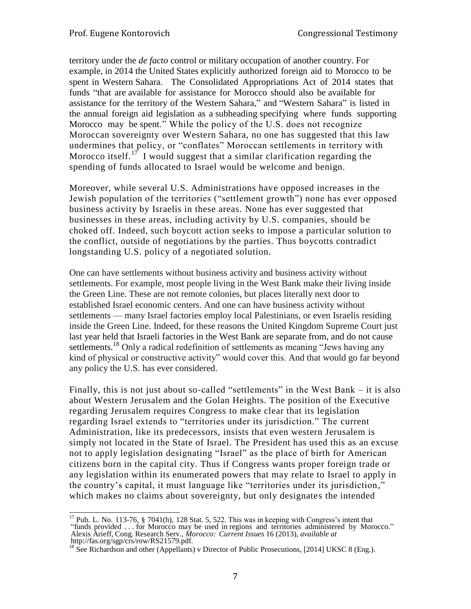territory under the *de facto* control or military occupation of another country. For example, in 2014 the United States explicitly authorized foreign aid to Morocco to be spent in Western Sahara. The Consolidated Appropriations Act of 2014 states that funds "that are available for assistance for Morocco should also be available for assistance for the territory of the Western Sahara," and "Western Sahara" is listed in the annual foreign aid legislation as a subheading specifying where funds supporting Morocco may be spent." While the policy of the U.S. does not recognize Moroccan sovereignty over Western Sahara, no one has suggested that this law undermines that policy, or "conflates" Moroccan settlements in territory with Morocco itself.<sup>17</sup> I would suggest that a similar clarification regarding the spending of funds allocated to Israel would be welcome and benign.

Moreover, while several U.S. Administrations have opposed increases in the Jewish population of the territories ("settlement growth") none has ever opposed business activity by Israelis in these areas. None has ever suggested that businesses in these areas, including activity by U.S. companies, should be choked off. Indeed, such boycott action seeks to impose a particular solution to the conflict, outside of negotiations by the parties. Thus boycotts contradict longstanding U.S. policy of a negotiated solution.

One can have settlements without business activity and business activity without settlements. For example, most people living in the West Bank make their living inside the Green Line. These are not remote colonies, but places literally next door to established Israel economic centers. And one can have business activity without settlements — many Israel factories employ local Palestinians, or even Israelis residing inside the Green Line. Indeed, for these reasons the United Kingdom Supreme Court just last year held that Israeli factories in the West Bank are separate from, and do not cause settlements.<sup>18</sup> Only a radical redefinition of settlements as meaning "Jews having any kind of physical or constructive activity" would cover this. And that would go far beyond any policy the U.S. has ever considered.

Finally, this is not just about so-called "settlements" in the West Bank – it is also about Western Jerusalem and the Golan Heights. The position of the Executive regarding Jerusalem requires Congress to make clear that its legislation regarding Israel extends to "territories under its jurisdiction." The current Administration, like its predecessors, insists that even western Jerusalem is simply not located in the State of Israel. The President has used this as an excuse not to apply legislation designating "Israel" as the place of birth for American citizens born in the capital city. Thus if Congress wants proper foreign trade or any legislation within its enumerated powers that may relate to Israel to apply in the country's capital, it must language like "territories under its jurisdiction," which makes no claims about sovereignty, but only designates the intended

 $\overline{\phantom{a}}$  $17$  Pub. L. No. 113-76, § 7041(h), 128 Stat. 5, 522. This was in keeping with Congress's intent that "funds provided . . . for Morocco may be used in regions and territories administered by Morocco." Alexis Arieff, Cong. Research Serv.*, Morocco: Current Issues* 16 (2013), *available at* [http://fas.org/sgp/crs/row/RS21579.pdf.](http://fas.org/sgp/crs/row/RS21579.pdf)

<sup>&</sup>lt;sup>18</sup> See Richardson and other (Appellants) v Director of Public Prosecutions, [2014] UKSC 8 (Eng.).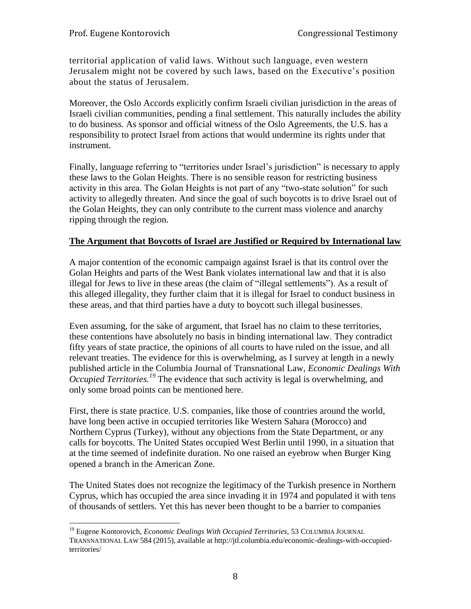territorial application of valid laws. Without such language, even western Jerusalem might not be covered by such laws, based on the Executive's position about the status of Jerusalem.

Moreover, the Oslo Accords explicitly confirm Israeli civilian jurisdiction in the areas of Israeli civilian communities, pending a final settlement. This naturally includes the ability to do business. As sponsor and official witness of the Oslo Agreements, the U.S. has a responsibility to protect Israel from actions that would undermine its rights under that instrument.

Finally, language referring to "territories under Israel's jurisdiction" is necessary to apply these laws to the Golan Heights. There is no sensible reason for restricting business activity in this area. The Golan Heights is not part of any "two-state solution" for such activity to allegedly threaten. And since the goal of such boycotts is to drive Israel out of the Golan Heights, they can only contribute to the current mass violence and anarchy ripping through the region.

# **The Argument that Boycotts of Israel are Justified or Required by International law**

A major contention of the economic campaign against Israel is that its control over the Golan Heights and parts of the West Bank violates international law and that it is also illegal for Jews to live in these areas (the claim of "illegal settlements"). As a result of this alleged illegality, they further claim that it is illegal for Israel to conduct business in these areas, and that third parties have a duty to boycott such illegal businesses.

Even assuming, for the sake of argument, that Israel has no claim to these territories, these contentions have absolutely no basis in binding international law. They contradict fifty years of state practice, the opinions of all courts to have ruled on the issue, and all relevant treaties. The evidence for this is overwhelming, as I survey at length in a newly published article in the Columbia Journal of Transnational Law, *Economic Dealings With Occupied Territories.<sup>19</sup>* The evidence that such activity is legal is overwhelming, and only some broad points can be mentioned here.

First, there is state practice. U.S. companies, like those of countries around the world, have long been active in occupied territories like Western Sahara (Morocco) and Northern Cyprus (Turkey), without any objections from the State Department, or any calls for boycotts. The United States occupied West Berlin until 1990, in a situation that at the time seemed of indefinite duration. No one raised an eyebrow when Burger King opened a branch in the American Zone.

The United States does not recognize the legitimacy of the Turkish presence in Northern Cyprus, which has occupied the area since invading it in 1974 and populated it with tens of thousands of settlers. Yet this has never been thought to be a barrier to companies

 $\overline{a}$ <sup>19</sup> Eugene Kontorovich, *Economic Dealings With Occupied Territories*, 53 COLUMBIA JOURNAL TRANSNATIONAL LAW 584 (2015), available at http://jtl.columbia.edu/economic-dealings-with-occupiedterritories/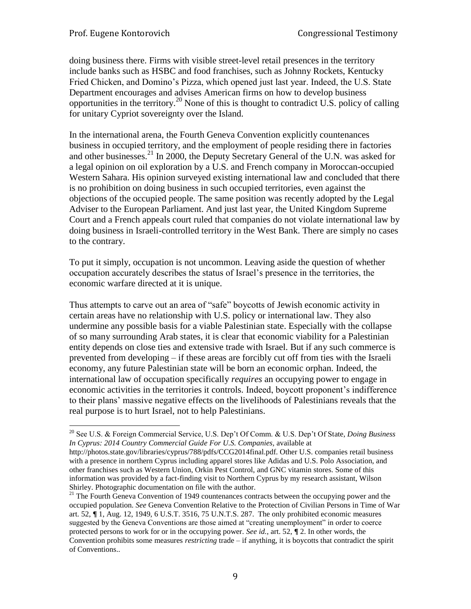l

doing business there. Firms with visible street-level retail presences in the territory include banks such as HSBC and food franchises, such as Johnny Rockets, Kentucky Fried Chicken, and Domino's Pizza, which opened just last year. Indeed, the U.S. State Department encourages and advises American firms on how to develop business opportunities in the territory.<sup>20</sup> None of this is thought to contradict U.S. policy of calling for unitary Cypriot sovereignty over the Island.

In the international arena, the Fourth Geneva Convention explicitly countenances business in occupied territory, and the employment of people residing there in factories and other businesses. $^{21}$  In 2000, the Deputy Secretary General of the U.N. was asked for a legal opinion on oil exploration by a U.S. and French company in Moroccan-occupied Western Sahara. His opinion surveyed existing international law and concluded that there is no prohibition on doing business in such occupied territories, even against the objections of the occupied people. The same position was recently adopted by the Legal Adviser to the European Parliament. And just last year, the United Kingdom Supreme Court and a French appeals court ruled that companies do not violate international law by doing business in Israeli-controlled territory in the West Bank. There are simply no cases to the contrary.

To put it simply, occupation is not uncommon. Leaving aside the question of whether occupation accurately describes the status of Israel's presence in the territories, the economic warfare directed at it is unique.

Thus attempts to carve out an area of "safe" boycotts of Jewish economic activity in certain areas have no relationship with U.S. policy or international law. They also undermine any possible basis for a viable Palestinian state. Especially with the collapse of so many surrounding Arab states, it is clear that economic viability for a Palestinian entity depends on close ties and extensive trade with Israel. But if any such commerce is prevented from developing – if these areas are forcibly cut off from ties with the Israeli economy, any future Palestinian state will be born an economic orphan. Indeed, the international law of occupation specifically *requires* an occupying power to engage in economic activities in the territories it controls. Indeed, boycott proponent's indifference to their plans' massive negative effects on the livelihoods of Palestinians reveals that the real purpose is to hurt Israel, not to help Palestinians.

<sup>20</sup> See U.S. & Foreign Commercial Service, U.S. Dep't Of Comm. & U.S. Dep't Of State, *Doing Business In Cyprus: 2014 Country Commercial Guide For U.S. Companies,* available at

http://photos.state.gov/libraries/cyprus/788/pdfs/CCG2014final.pdf. Other U.S. companies retail business with a presence in northern Cyprus including apparel stores like Adidas and U.S. Polo Association, and other franchises such as Western Union, Orkin Pest Control, and GNC vitamin stores. Some of this information was provided by a fact-finding visit to Northern Cyprus by my research assistant, Wilson Shirley. Photographic documentation on file with the author.

<sup>&</sup>lt;sup>21</sup> The Fourth Geneva Convention of 1949 countenances contracts between the occupying power and the occupied population. *See* Geneva Convention Relative to the Protection of Civilian Persons in Time of War art. 52, **¶** 1, Aug. 12, 1949, 6 U.S.T. 3516, 75 U.N.T.S. 287. The only prohibited economic measures suggested by the Geneva Conventions are those aimed at "creating unemployment" in order to coerce protected persons to work for or in the occupying power. *See id.*, art. 52, **¶** 2. In other words, the Convention prohibits some measures *restricting* trade – if anything, it is boycotts that contradict the spirit of Conventions..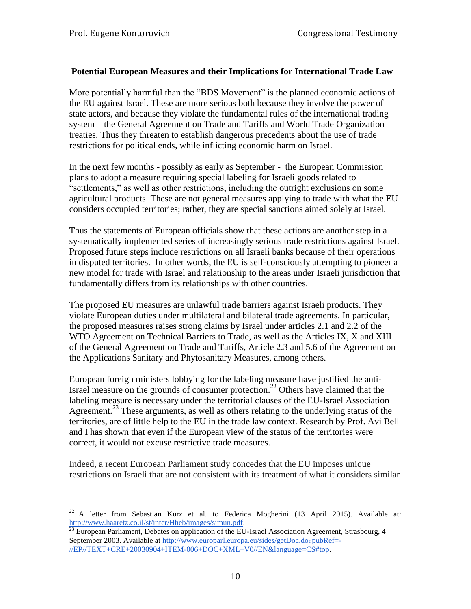### **Potential European Measures and their Implications for International Trade Law**

More potentially harmful than the "BDS Movement" is the planned economic actions of the EU against Israel. These are more serious both because they involve the power of state actors, and because they violate the fundamental rules of the international trading system – the General Agreement on Trade and Tariffs and World Trade Organization treaties. Thus they threaten to establish dangerous precedents about the use of trade restrictions for political ends, while inflicting economic harm on Israel.

In the next few months - possibly as early as September - the European Commission plans to adopt a measure requiring special labeling for Israeli goods related to "settlements," as well as other restrictions, including the outright exclusions on some agricultural products. These are not general measures applying to trade with what the EU considers occupied territories; rather, they are special sanctions aimed solely at Israel.

Thus the statements of European officials show that these actions are another step in a systematically implemented series of increasingly serious trade restrictions against Israel. Proposed future steps include restrictions on all Israeli banks because of their operations in disputed territories. In other words, the EU is self-consciously attempting to pioneer a new model for trade with Israel and relationship to the areas under Israeli jurisdiction that fundamentally differs from its relationships with other countries.

The proposed EU measures are unlawful trade barriers against Israeli products. They violate European duties under multilateral and bilateral trade agreements. In particular, the proposed measures raises strong claims by Israel under articles 2.1 and 2.2 of the WTO Agreement on Technical Barriers to Trade, as well as the Articles IX, X and XIII of the General Agreement on Trade and Tariffs, Article 2.3 and 5.6 of the Agreement on the Applications Sanitary and Phytosanitary Measures, among others.

European foreign ministers lobbying for the labeling measure have justified the anti-Israel measure on the grounds of consumer protection.<sup>22</sup> Others have claimed that the labeling measure is necessary under the territorial clauses of the EU-Israel Association Agreement.<sup>23</sup> These arguments, as well as others relating to the underlying status of the territories, are of little help to the EU in the trade law context. Research by Prof. Avi Bell and I has shown that even if the European view of the status of the territories were correct, it would not excuse restrictive trade measures.

Indeed, a recent European Parliament study concedes that the EU imposes unique restrictions on Israeli that are not consistent with its treatment of what it considers similar

 $\overline{a}$  $22$  A letter from Sebastian Kurz et al. to Federica Mogherini (13 April 2015). Available at: [http://www.haaretz.co.il/st/inter/Hheb/images/simun.pdf.](http://www.haaretz.co.il/st/inter/Hheb/images/simun.pdf)

 $^{23}$  European Parliament, Debates on application of the EU-Israel Association Agreement, Strasbourg, 4 September 2003. Available at [http://www.europarl.europa.eu/sides/getDoc.do?pubRef=-](http://www.europarl.europa.eu/sides/getDoc.do?pubRef=-//EP//TEXT+CRE+20030904+ITEM-006+DOC+XML+V0//EN&language=CS#top) [//EP//TEXT+CRE+20030904+ITEM-006+DOC+XML+V0//EN&language=CS#top.](http://www.europarl.europa.eu/sides/getDoc.do?pubRef=-//EP//TEXT+CRE+20030904+ITEM-006+DOC+XML+V0//EN&language=CS#top)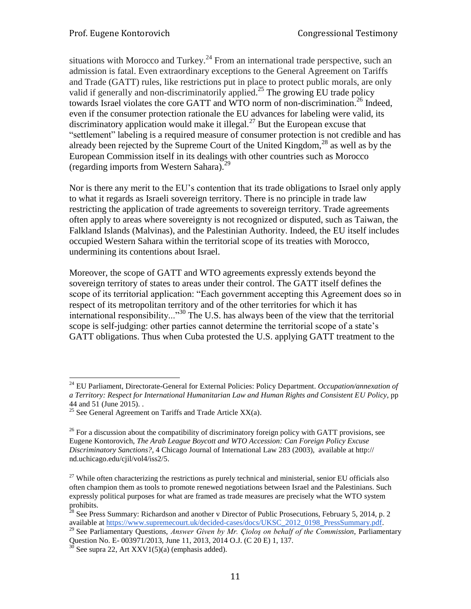situations with Morocco and Turkey.<sup>24</sup> From an international trade perspective, such an admission is fatal. Even extraordinary exceptions to the General Agreement on Tariffs and Trade (GATT) rules, like restrictions put in place to protect public morals, are only valid if generally and non-discriminatorily applied.<sup>25</sup> The growing EU trade policy towards Israel violates the core GATT and WTO norm of non-discrimination.<sup>26</sup> Indeed, even if the consumer protection rationale the EU advances for labeling were valid, its discriminatory application would make it illegal.<sup>27</sup> But the European excuse that "settlement" labeling is a required measure of consumer protection is not credible and has already been rejected by the Supreme Court of the United Kingdom,  $^{28}$  as well as by the European Commission itself in its dealings with other countries such as Morocco (regarding imports from Western Sahara). 29

Nor is there any merit to the EU's contention that its trade obligations to Israel only apply to what it regards as Israeli sovereign territory. There is no principle in trade law restricting the application of trade agreements to sovereign territory. Trade agreements often apply to areas where sovereignty is not recognized or disputed, such as Taiwan, the Falkland Islands (Malvinas), and the Palestinian Authority. Indeed, the EU itself includes occupied Western Sahara within the territorial scope of its treaties with Morocco, undermining its contentions about Israel.

Moreover, the scope of GATT and WTO agreements expressly extends beyond the sovereign territory of states to areas under their control. The GATT itself defines the scope of its territorial application: "Each government accepting this Agreement does so in respect of its metropolitan territory and of the other territories for which it has international responsibility..."<sup>30</sup> The U.S. has always been of the view that the territorial scope is self-judging: other parties cannot determine the territorial scope of a state's GATT obligations. Thus when Cuba protested the U.S. applying GATT treatment to the

 $\overline{a}$ 

<sup>24</sup> EU Parliament, Directorate-General for External Policies: Policy Department. *Occupation/annexation of a Territory: Respect for International Humanitarian Law and Human Rights and Consistent EU Policy*, pp 44 and 51 (June 2015). .

<sup>&</sup>lt;sup>25</sup> See General Agreement on Tariffs and Trade Article  $XX(a)$ .

 $^{26}$  For a discussion about the compatibility of discriminatory foreign policy with GATT provisions, see Eugene Kontorovich, *The Arab League Boycott and WTO Accession: Can Foreign Policy Excuse Discriminatory Sanctions?*, 4 Chicago Journal of International Law 283 (2003), available at http:// nd.uchicago.edu/cjil/vol4/iss2/5.

 $^{27}$  While often characterizing the restrictions as purely technical and ministerial, senior EU officials also often champion them as tools to promote renewed negotiations between Israel and the Palestinians. Such expressly political purposes for what are framed as trade measures are precisely what the WTO system prohibits.

 $^{28}$  See Press Summary: Richardson and another v Director of Public Prosecutions, February 5, 2014, p. 2 available at [https://www.supremecourt.uk/decided-cases/docs/UKSC\\_2012\\_0198\\_PressSummary.pdf.](https://www.supremecourt.uk/decided-cases/docs/UKSC_2012_0198_PressSummary.pdf)

<sup>29</sup> See Parliamentary Questions, *Answer Given by Mr. Çioloş on behalf of the Commission*, Parliamentary Question No. E- 003971/2013, June 11, 2013, 2014 O.J. (C 20 E) 1, 137.

 $30$  See supra 22, Art XXV1(5)(a) (emphasis added).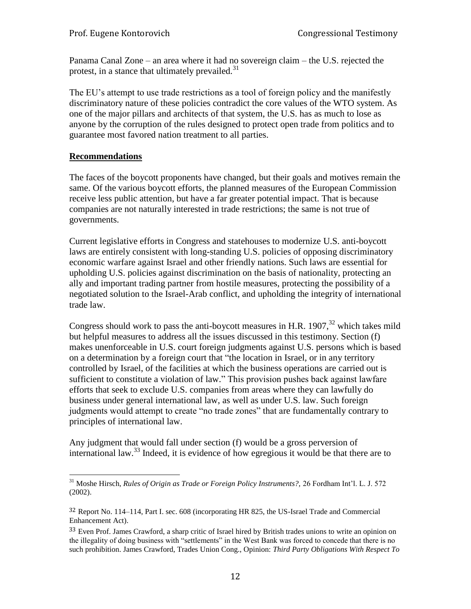Panama Canal Zone – an area where it had no sovereign claim – the U.S. rejected the protest, in a stance that ultimately prevailed. $31$ 

The EU's attempt to use trade restrictions as a tool of foreign policy and the manifestly discriminatory nature of these policies contradict the core values of the WTO system. As one of the major pillars and architects of that system, the U.S. has as much to lose as anyone by the corruption of the rules designed to protect open trade from politics and to guarantee most favored nation treatment to all parties.

#### **Recommendations**

 $\overline{a}$ 

The faces of the boycott proponents have changed, but their goals and motives remain the same. Of the various boycott efforts, the planned measures of the European Commission receive less public attention, but have a far greater potential impact. That is because companies are not naturally interested in trade restrictions; the same is not true of governments.

Current legislative efforts in Congress and statehouses to modernize U.S. anti-boycott laws are entirely consistent with long-standing U.S. policies of opposing discriminatory economic warfare against Israel and other friendly nations. Such laws are essential for upholding U.S. policies against discrimination on the basis of nationality, protecting an ally and important trading partner from hostile measures, protecting the possibility of a negotiated solution to the Israel-Arab conflict, and upholding the integrity of international trade law.

Congress should work to pass the anti-boycott measures in H.R.  $1907$ <sup>32</sup>, which takes mild but helpful measures to address all the issues discussed in this testimony. Section (f) makes unenforceable in U.S. court foreign judgments against U.S. persons which is based on a determination by a foreign court that "the location in Israel, or in any territory controlled by Israel, of the facilities at which the business operations are carried out is sufficient to constitute a violation of law." This provision pushes back against lawfare efforts that seek to exclude U.S. companies from areas where they can lawfully do business under general international law, as well as under U.S. law. Such foreign judgments would attempt to create "no trade zones" that are fundamentally contrary to principles of international law.

Any judgment that would fall under section (f) would be a gross perversion of international law.<sup>33</sup> Indeed, it is evidence of how egregious it would be that there are to

<sup>31</sup> Moshe Hirsch, *Rules of Origin as Trade or Foreign Policy Instruments?,* 26 Fordham Int'l. L. J. 572 (2002).

<sup>32</sup> Report No. 114–114, Part I. sec. 608 (incorporating HR 825, the US-Israel Trade and Commercial Enhancement Act).

<sup>&</sup>lt;sup>33</sup> Even Prof. James Crawford, a sharp critic of Israel hired by British trades unions to write an opinion on the illegality of doing business with "settlements" in the West Bank was forced to concede that there is no such prohibition. James Crawford, Trades Union Cong., Opinion: *Third Party Obligations With Respect To*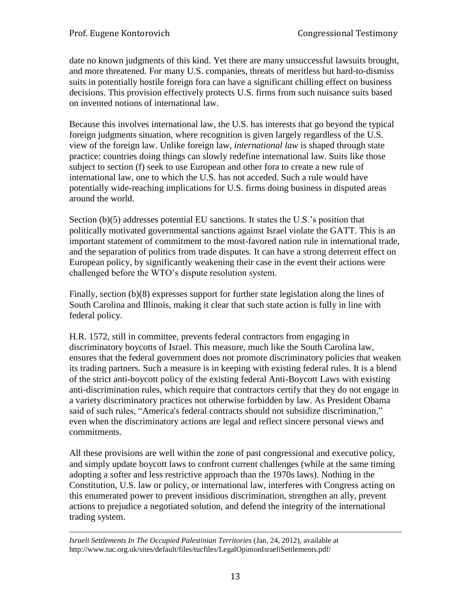date no known judgments of this kind. Yet there are many unsuccessful lawsuits brought, and more threatened. For many U.S. companies, threats of meritless but hard-to-dismiss suits in potentially hostile foreign fora can have a significant chilling effect on business decisions. This provision effectively protects U.S. firms from such nuisance suits based on invented notions of international law.

Because this involves international law, the U.S. has interests that go beyond the typical foreign judgments situation, where recognition is given largely regardless of the U.S. view of the foreign law. Unlike foreign law, *international law* is shaped through state practice: countries doing things can slowly redefine international law. Suits like those subject to section (f) seek to use European and other fora to create a new rule of international law, one to which the U.S. has not acceded. Such a rule would have potentially wide-reaching implications for U.S. firms doing business in disputed areas around the world.

Section (b)(5) addresses potential EU sanctions. It states the U.S.'s position that politically motivated governmental sanctions against Israel violate the GATT. This is an important statement of commitment to the most-favored nation rule in international trade, and the separation of politics from trade disputes. It can have a strong deterrent effect on European policy, by significantly weakening their case in the event their actions were challenged before the WTO's dispute resolution system.

Finally, section (b)(8) expresses support for further state legislation along the lines of South Carolina and Illinois, making it clear that such state action is fully in line with federal policy.

H.R. 1572, still in committee, prevents federal contractors from engaging in discriminatory boycotts of Israel. This measure, much like the South Carolina law, ensures that the federal government does not promote discriminatory policies that weaken its trading partners. Such a measure is in keeping with existing federal rules. It is a blend of the strict anti-boycott policy of the existing federal Anti-Boycott Laws with existing anti-discrimination rules, which require that contractors certify that they do not engage in a variety discriminatory practices not otherwise forbidden by law. As President Obama said of such rules, "America's federal contracts should not subsidize discrimination," even when the discriminatory actions are legal and reflect sincere personal views and commitments.

All these provisions are well within the zone of past congressional and executive policy, and simply update boycott laws to confront current challenges (while at the same timing adopting a softer and less restrictive approach than the 1970s laws). Nothing in the Constitution, U.S. law or policy, or international law, interferes with Congress acting on this enumerated power to prevent insidious discrimination, strengthen an ally, prevent actions to prejudice a negotiated solution, and defend the integrity of the international trading system.

l *Israeli Settlements In The Occupied Palestinian Territories* (Jan. 24, 2012), available at http://www.tuc.org.uk/sites/default/files/tucfiles/LegalOpinionIsraeliSettlements.pdf/